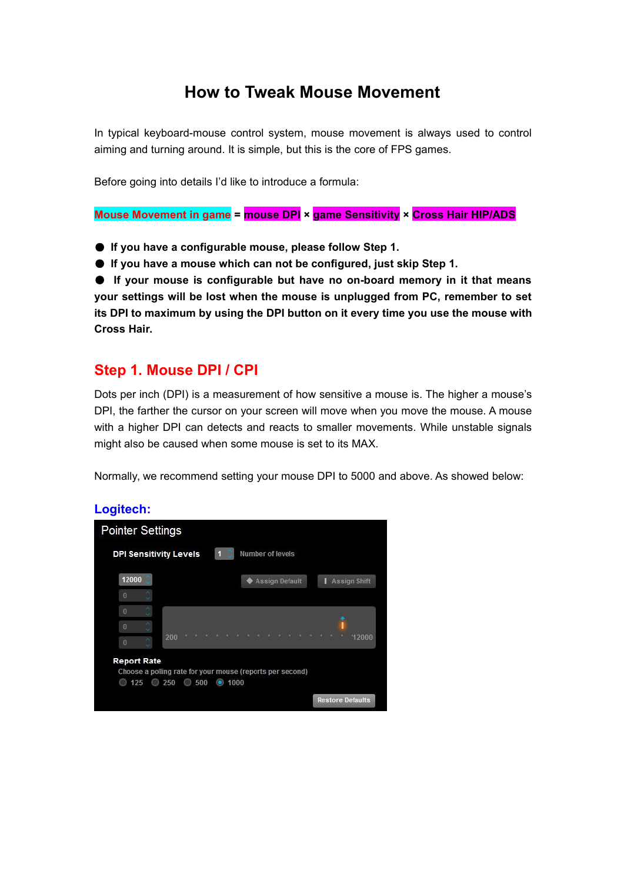# **How to Tweak Mouse Movement**

In typical keyboard-mouse control system, mouse movement is always used to control aiming and turning around. It is simple, but this is the core of FPS games.

Before going into details I'd like to introduce a formula:

**Mouse Movement in game = mouse DPI × game Sensitivity × Cross Hair HIP/ADS**

- **If you have a configurable mouse, please follow Step 1.**
- **If you have a mouse which can not be configured, just skip Step 1.**

● **If your mouse is configurable but have no on-board memory in it that means your settings will be lost when the mouse is unplugged from PC, remember to set its DPI to maximum by using the DPI button on it every time you use the mouse with Cross Hair.**

# **Step 1. Mouse DPI / CPI**

Dots per inch (DPI) is a measurement of how sensitive a mouse is. The higher a mouse's DPI, the farther the cursor on your screen will move when you move the mouse. A mouse with a higher DPI can detects and reacts to smaller movements. While unstable signals might also be caused when some mouse is set to its MAX.

Normally, we recommend setting your mouse DPI to 5000 and above. As showed below:

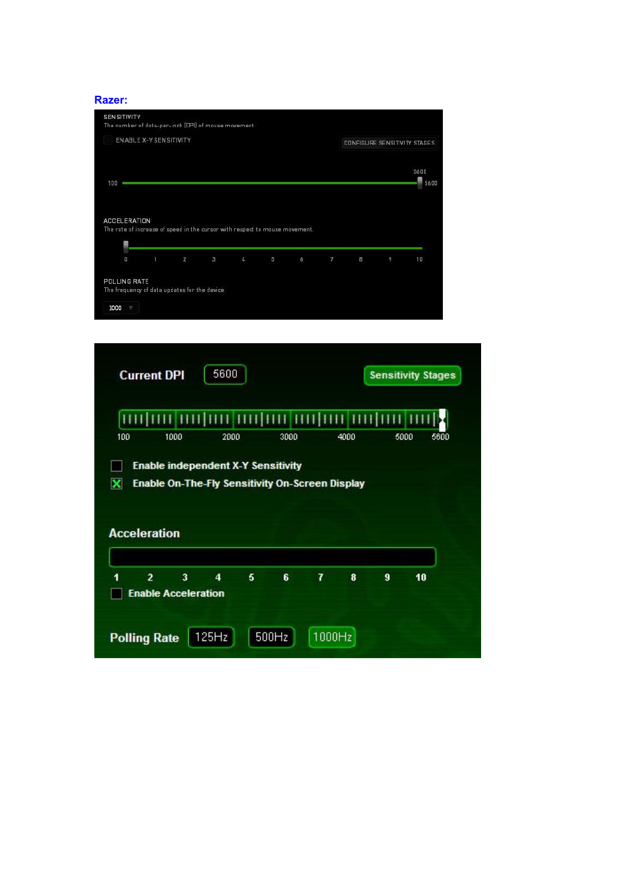

| 100                      | 1000 | 2000                                                                                         | 3000 | 4000 | 5000 | 5600 |
|--------------------------|------|----------------------------------------------------------------------------------------------|------|------|------|------|
|                          |      | <b>Enable independent X-Y Sensitivity</b><br>Enable On-The-Fly Sensitivity On-Screen Display |      |      |      |      |
| ×<br><b>Acceleration</b> |      |                                                                                              |      |      |      |      |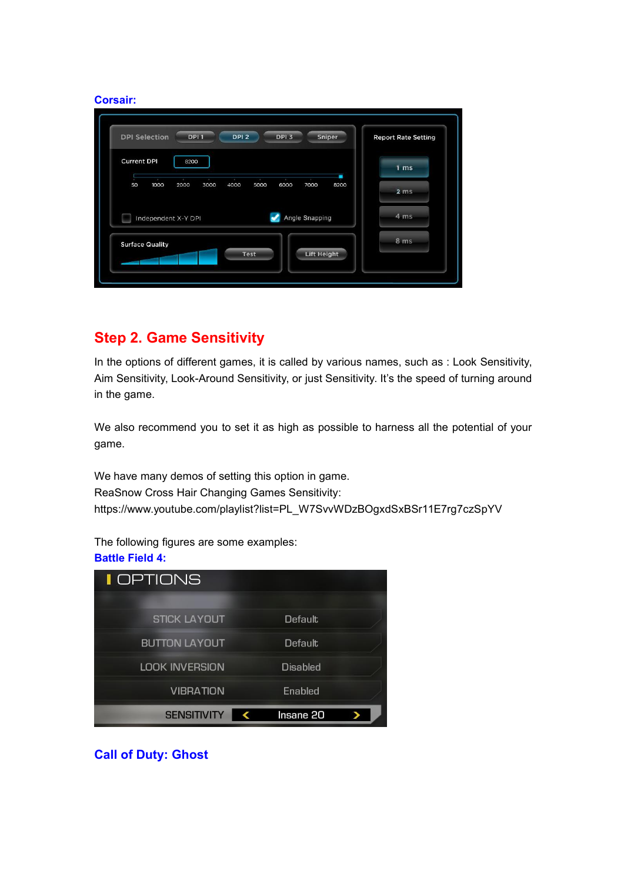### **Corsair:**

| <b>Current DPI</b><br>8200 |                                      |        |
|----------------------------|--------------------------------------|--------|
|                            |                                      | $1$ ms |
| 50<br>1000<br>2000<br>3000 | 5000<br>7000<br>4000<br>6000<br>8200 | 2 ms   |
| Independent X-Y DPI        | Angle Snapping                       | 4 ms   |
| <b>Surface Quality</b>     |                                      | 8 ms   |

# **Step 2. Game Sensitivity**

In the options of different games, it is called by various names, such as : Look Sensitivity, Aim Sensitivity, Look-Around Sensitivity, or just Sensitivity. It's the speed of turning around in the game.

We also recommend you to set it as high as possible to harness all the potential of your game.

We have many demos of setting this option in game. ReaSnow Cross Hair Changing Games Sensitivity: https://www.youtube.com/playlist?list=PL\_W7SvvWDzBOgxdSxBSr11E7rg7czSpYV

The following figures are some examples:

### **Battle Field 4:**

| <b>I</b> OPTIONS      |                 |
|-----------------------|-----------------|
|                       |                 |
| <b>STICK LAYOUT</b>   | <b>Default</b>  |
| <b>BUTTON LAYOUT</b>  | Default         |
| <b>LOOK INVERSION</b> | <b>Disabled</b> |
| <b>VIBRATION</b>      | Enabled         |
| <b>SENSITIVITY</b>    | Insane 20       |

**Call of Duty: Ghost**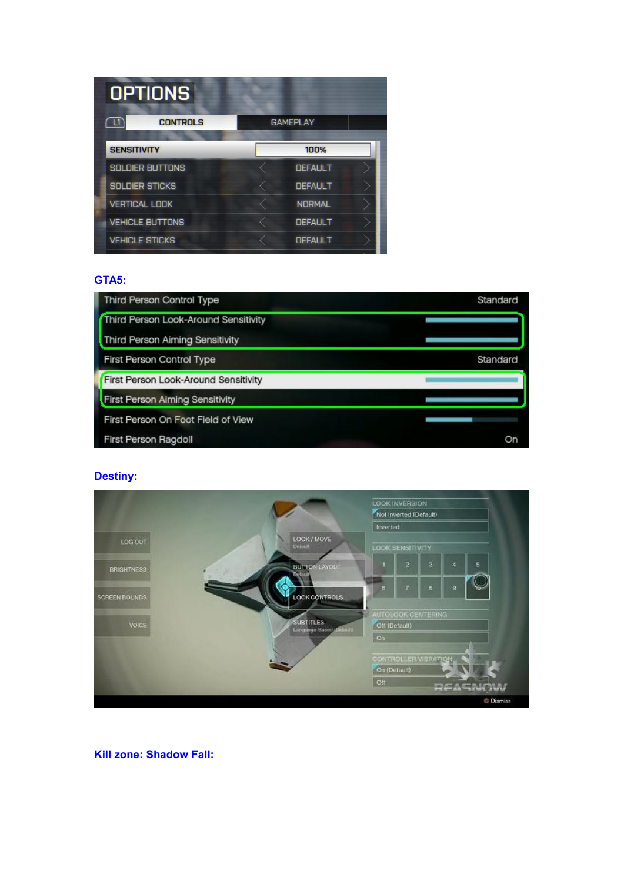|                    | <b>OPTIONS</b>         |                 |  |
|--------------------|------------------------|-----------------|--|
|                    | <b>CONTROLS</b>        | <b>GAMEPLAY</b> |  |
| <b>SENSITIVITY</b> |                        | 100%            |  |
|                    | <b>SOLDIER BUTTONS</b> | <b>DEFAULT</b>  |  |
|                    | <b>SOLDIER STICKS</b>  | <b>DEFAULT</b>  |  |
|                    | <b>VERTICAL LOOK</b>   | <b>NORMAL</b>   |  |
|                    | <b>VEHICLE BUTTONS</b> | <b>DEFAULT</b>  |  |
|                    | <b>VEHICLE STICKS</b>  | <b>DEFAULT</b>  |  |

#### **GTA5:**

| Third Person Control Type              | Standard |
|----------------------------------------|----------|
| Third Person Look-Around Sensitivity   |          |
| <b>Third Person Aiming Sensitivity</b> |          |
| First Person Control Type              | Standard |
| First Person Look-Around Sensitivity   |          |
| First Person Aiming Sensitivity        |          |
| First Person On Foot Field of View     |          |
| First Person Ragdoll                   | On       |

### **Destiny:**



**Kill zone: Shadow Fall:**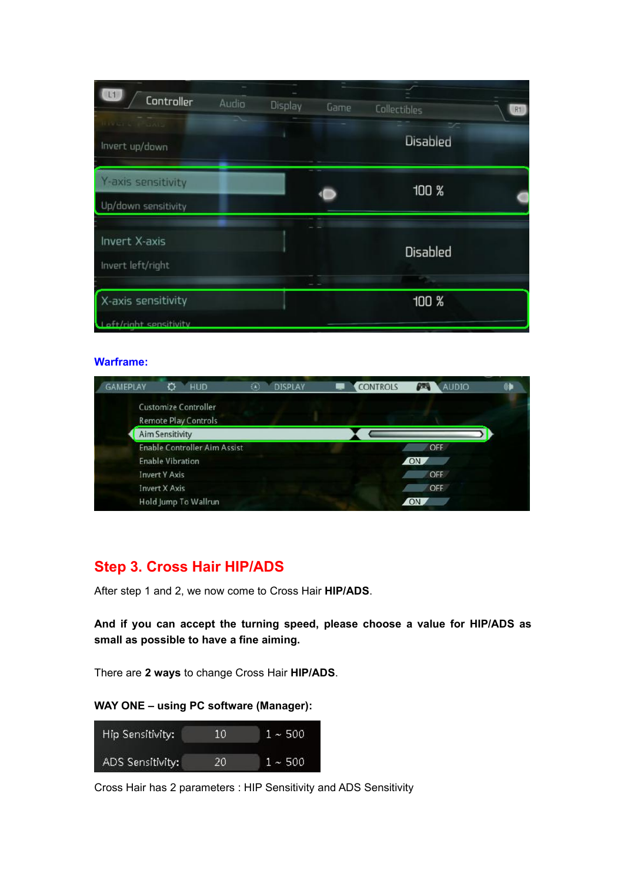| L <sub>1</sub><br>Controller                        | Audio | Display | Game | Collectibles    | R1 |
|-----------------------------------------------------|-------|---------|------|-----------------|----|
| <b><i>FERRY</i></b><br>Invert up/down               |       |         |      | ×<br>Disabled   |    |
| Y-axis sensitivity<br>Up/down sensitivity           |       |         |      | 100 %           |    |
| Invert X-axis<br>Invert left/right                  |       |         |      | <b>Disabled</b> |    |
| X-axis sensitivity<br><b>Laft/right sensitivity</b> |       |         |      | 100 %           |    |

#### **Warframe:**

| AMEPLAY | HUD                                                        | ۵<br><b>DISPLAY</b> | <b>CONTROLS</b> | <b>AUDIO</b><br>P. |  |
|---------|------------------------------------------------------------|---------------------|-----------------|--------------------|--|
|         | <b>Customize Controller</b><br><b>Remote Play Controls</b> |                     |                 |                    |  |
|         | <b>Aim Sensitivity</b>                                     |                     |                 |                    |  |
|         | <b>Enable Controller Aim Assist</b>                        |                     |                 | OFF                |  |
|         | <b>Enable Vibration</b>                                    |                     | ON <sub>1</sub> |                    |  |
|         | <b>Invert Y Axis</b>                                       |                     |                 | OFF                |  |
|         | <b>Invert X Axis</b>                                       |                     |                 | OFF                |  |
|         | Hold Jump To Wallrun                                       |                     |                 |                    |  |

# **Step 3. Cross Hair HIP/ADS**

After step 1 and 2, we now come to Cross Hair **HIP/ADS**.

**And if you can accept the turning speed, please choose a value for HIP/ADS as small as possible to have a fine aiming.**

There are **2 ways** to change Cross Hair **HIP/ADS**.

### **WAY ONE – using PC software (Manager):**

| Hip Sensitivity: | 10 | $1 - 500$ |
|------------------|----|-----------|
| ADS Sensitivity: | 20 | $1 - 500$ |

Cross Hair has 2 parameters : HIP Sensitivity and ADS Sensitivity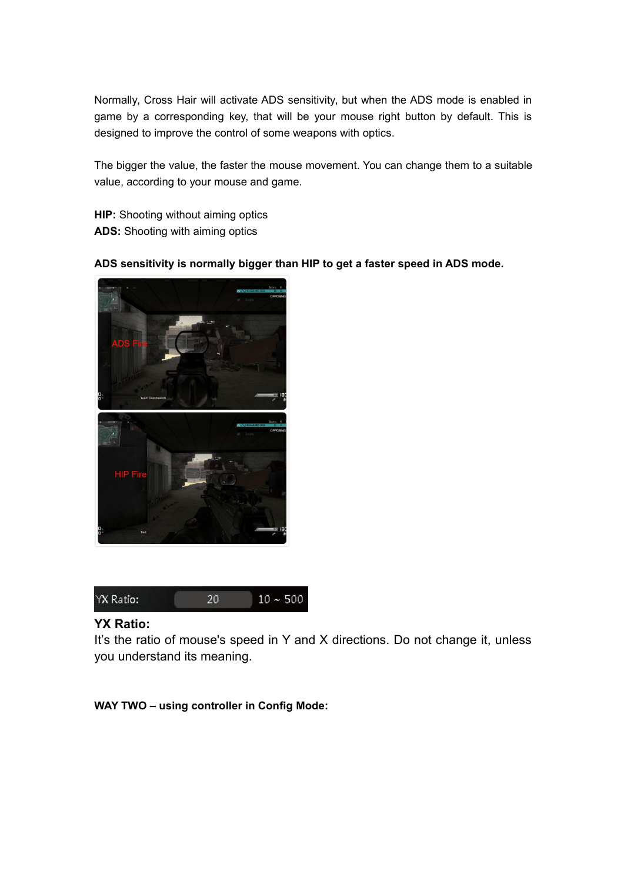Normally, Cross Hair will activate ADS sensitivity, but when the ADS mode is enabled in game by a corresponding key, that will be your mouse right button by default. This is designed to improve the control of some weapons with optics.

The bigger the value, the faster the mouse movement. You can change them to a suitable value, according to your mouse and game.

**HIP:** Shooting without aiming optics **ADS:** Shooting with aiming optics

**ADS sensitivity is normally bigger than HIP to get a faster speed in ADS mode.**





## **YX Ratio:**

It's the ratio of mouse's speed in Y and X directions. Do not change it, unless you understand its meaning.

**WAY TWO – using controller in Config Mode:**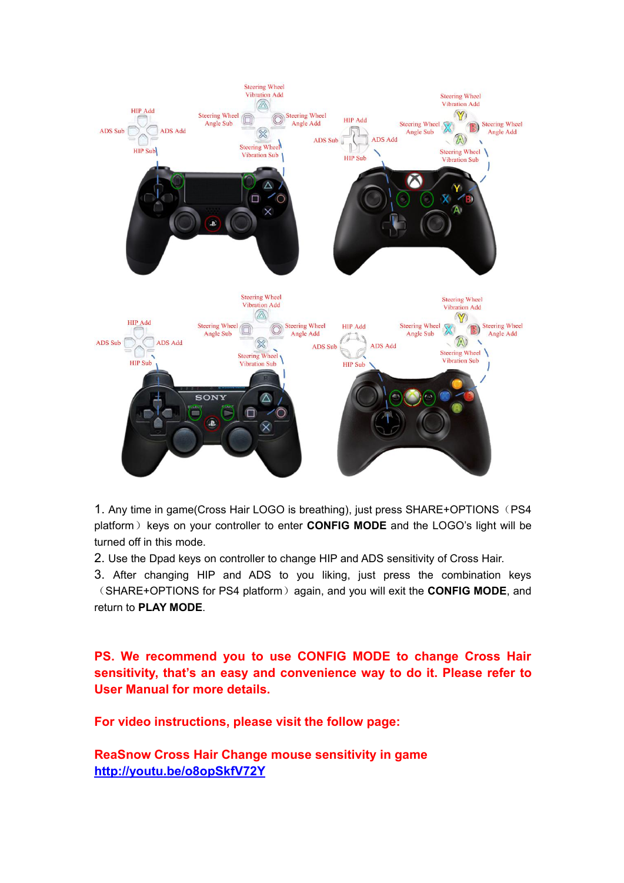

1. Any time in game(Cross Hair LOGO is breathing), just press SHARE+OPTIONS (PS4 platform) keys on your controller to enter **CONFIG MODE** and the LOGO's light will be turned off in this mode.

2. Use the Dpad keys on controller to change HIP and ADS sensitivity of Cross Hair.

3. After changing HIP and ADS to you liking, just press the combination keys (SHARE+OPTIONS for PS4 platform)again, and you will exit the **CONFIG MODE**, and return to **PLAY MODE**.

**PS. We recommend you to use CONFIG MODE to change Cross Hair sensitivity, that's an easy and convenience way to do it. Please refer to User Manual for more details.**

**For video instructions, please visit the follow page:**

**ReaSnow Cross Hair Change mouse sensitivity in game <http://youtu.be/o8opSkfV72Y>**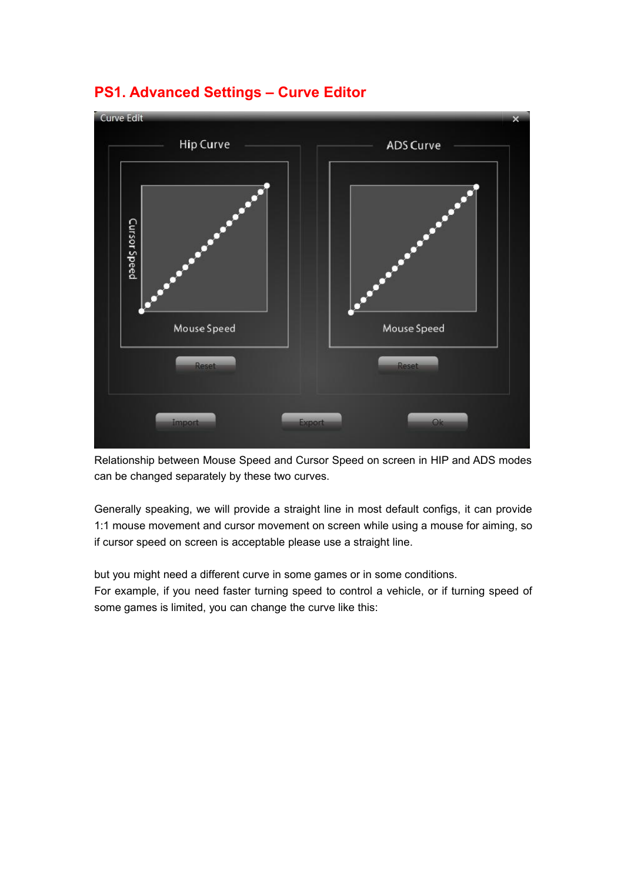

# **PS1. Advanced Settings – Curve Editor**

Relationship between Mouse Speed and Cursor Speed on screen in HIP and ADS modes can be changed separately by these two curves.

Generally speaking, we will provide a straight line in most default configs, it can provide 1:1 mouse movement and cursor movement on screen while using a mouse for aiming, so if cursor speed on screen is acceptable please use a straight line.

but you might need a different curve in some games or in some conditions.

For example, if you need faster turning speed to control a vehicle, or if turning speed of some games is limited, you can change the curve like this: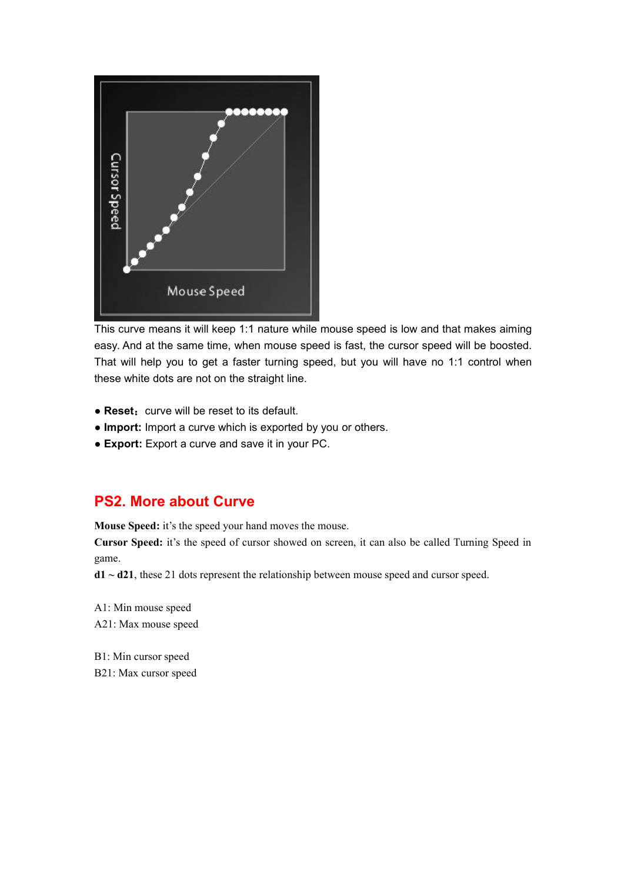

This curve means it will keep 1:1 nature while mouse speed is low and that makes aiming easy. And at the same time, when mouse speed is fast, the cursor speed will be boosted. That will help you to get a faster turning speed, but you will have no 1:1 control when these white dots are not on the straight line.

- Reset: curve will be reset to its default.
- **Import:** Import a curve which is exported by you or others.
- **Export:** Export a curve and save it in your PC.

## **PS2. More about Curve**

**Mouse Speed:** it's the speed your hand moves the mouse.

**Cursor Speed:** it's the speed of cursor showed on screen, it can also be called Turning Speed in game.

**d1 ~ d21**, these 21 dots represent the relationship between mouse speed and cursor speed.

A1: Min mouse speed A21: Max mouse speed

B1: Min cursor speed B21: Max cursor speed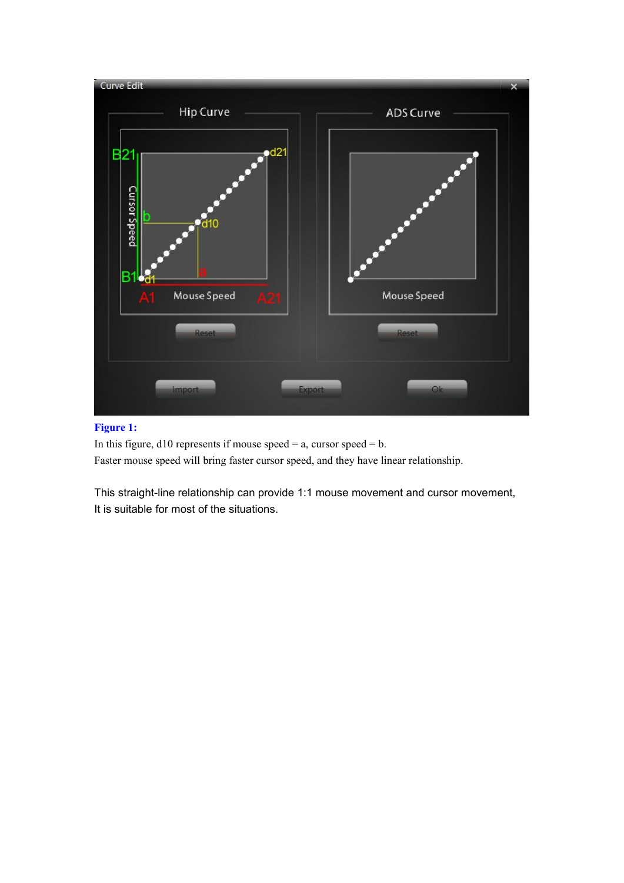

#### **Figure 1:**

In this figure,  $d10$  represents if mouse speed = a, cursor speed = b. Faster mouse speed will bring faster cursor speed, and they have linear relationship.

This straight-line relationship can provide 1:1 mouse movement and cursor movement, It is suitable for most of the situations.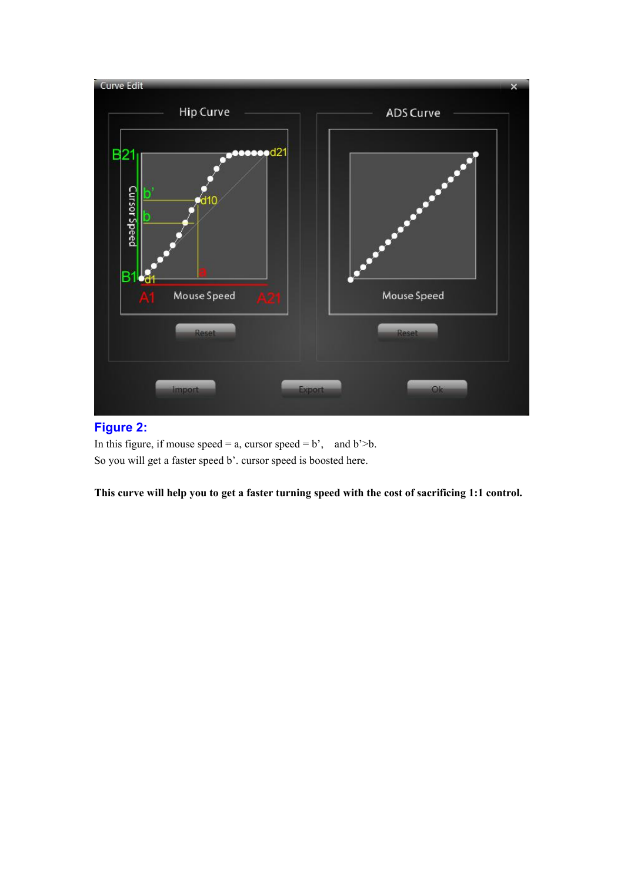

### **Figure 2:**

In this figure, if mouse  $speed = a$ , cursor  $speed = b'$ , and  $b' > b$ . So you will get a faster speed b'. cursor speed is boosted here.

**This curve will help you toget a faster turning speed with the cost of sacrificing 1:1 control.**